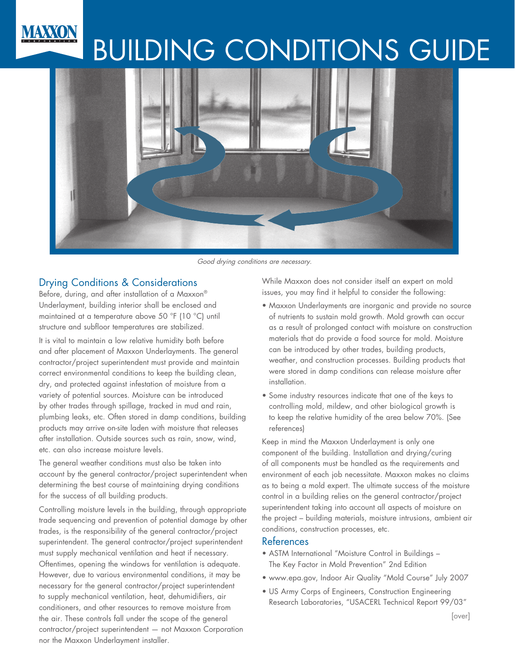# MAXXON BUILDING CONDITIONS GUIDE



Good drying conditions are necessary.

## Drying Conditions & Considerations

Before, during, and after installation of a Maxxon® Underlayment, building interior shall be enclosed and maintained at a temperature above 50 °F (10 °C) until structure and subfloor temperatures are stabilized.

It is vital to maintain a low relative humidity both before and after placement of Maxxon Underlayments. The general contractor/project superintendent must provide and maintain correct environmental conditions to keep the building clean, dry, and protected against infestation of moisture from a variety of potential sources. Moisture can be introduced by other trades through spillage, tracked in mud and rain, plumbing leaks, etc. Often stored in damp conditions, building products may arrive on-site laden with moisture that releases after installation. Outside sources such as rain, snow, wind, etc. can also increase moisture levels.

The general weather conditions must also be taken into account by the general contractor/project superintendent when determining the best course of maintaining drying conditions for the success of all building products.

Controlling moisture levels in the building, through appropriate trade sequencing and prevention of potential damage by other trades, is the responsibility of the general contractor/project superintendent. The general contractor/project superintendent must supply mechanical ventilation and heat if necessary. Oftentimes, opening the windows for ventilation is adequate. However, due to various environmental conditions, it may be necessary for the general contractor/project superintendent to supply mechanical ventilation, heat, dehumidifiers, air conditioners, and other resources to remove moisture from the air. These controls fall under the scope of the general contractor/project superintendent — not Maxxon Corporation nor the Maxxon Underlayment installer.

While Maxxon does not consider itself an expert on mold issues, you may find it helpful to consider the following:

- Maxxon Underlayments are inorganic and provide no source of nutrients to sustain mold growth. Mold growth can occur as a result of prolonged contact with moisture on construction materials that do provide a food source for mold. Moisture can be introduced by other trades, building products, weather, and construction processes. Building products that were stored in damp conditions can release moisture after installation.
- Some industry resources indicate that one of the keys to controlling mold, mildew, and other biological growth is to keep the relative humidity of the area below 70%. (See references)

Keep in mind the Maxxon Underlayment is only one component of the building. Installation and drying/curing of all components must be handled as the requirements and environment of each job necessitate. Maxxon makes no claims as to being a mold expert. The ultimate success of the moisture control in a building relies on the general contractor/project superintendent taking into account all aspects of moisture on the project – building materials, moisture intrusions, ambient air conditions, construction processes, etc.

#### References

- ASTM International "Moisture Control in Buildings The Key Factor in Mold Prevention" 2nd Edition
- www.epa.gov, Indoor Air Quality "Mold Course" July 2007
- US Army Corps of Engineers, Construction Engineering Research Laboratories, "USACERL Technical Report 99/03"